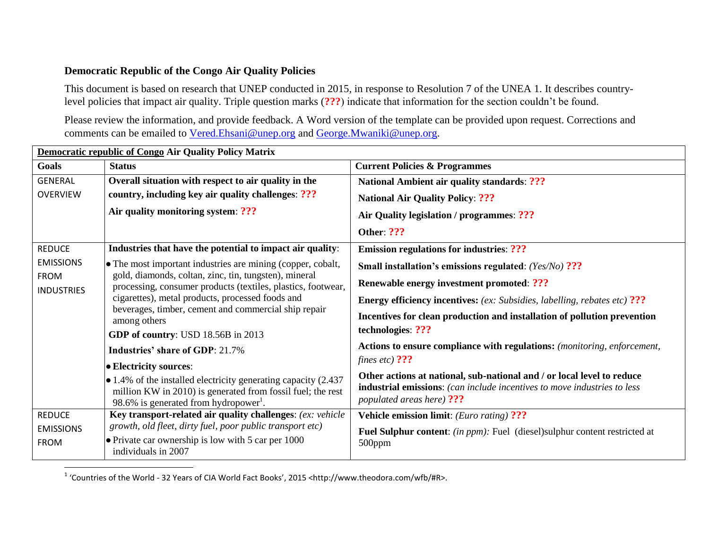## **Democratic Republic of the Congo Air Quality Policies**

This document is based on research that UNEP conducted in 2015, in response to Resolution 7 of the UNEA 1. It describes countrylevel policies that impact air quality. Triple question marks (**???**) indicate that information for the section couldn't be found.

Please review the information, and provide feedback. A Word version of the template can be provided upon request. Corrections and comments can be emailed to [Vered.Ehsani@unep.org](mailto:Vered.Ehsani@unep.org) and [George.Mwaniki@unep.org.](mailto:George.Mwaniki@unep.org)

| Democratic republic of Congo Air Quality Policy Matrix |                                                                                                                                                                                            |                                                                                                                                                                                 |  |  |
|--------------------------------------------------------|--------------------------------------------------------------------------------------------------------------------------------------------------------------------------------------------|---------------------------------------------------------------------------------------------------------------------------------------------------------------------------------|--|--|
| Goals                                                  | <b>Status</b>                                                                                                                                                                              | <b>Current Policies &amp; Programmes</b>                                                                                                                                        |  |  |
| <b>GENERAL</b>                                         | Overall situation with respect to air quality in the                                                                                                                                       | <b>National Ambient air quality standards: ???</b>                                                                                                                              |  |  |
| <b>OVERVIEW</b>                                        | country, including key air quality challenges: ???                                                                                                                                         | <b>National Air Quality Policy: ???</b>                                                                                                                                         |  |  |
|                                                        | Air quality monitoring system: ???                                                                                                                                                         | Air Quality legislation / programmes: ???                                                                                                                                       |  |  |
|                                                        |                                                                                                                                                                                            | <b>Other: ???</b>                                                                                                                                                               |  |  |
| <b>REDUCE</b>                                          | Industries that have the potential to impact air quality:                                                                                                                                  | <b>Emission regulations for industries: ???</b>                                                                                                                                 |  |  |
| <b>EMISSIONS</b>                                       | • The most important industries are mining (copper, cobalt,                                                                                                                                | Small installation's emissions regulated: (Yes/No) ???                                                                                                                          |  |  |
| <b>FROM</b><br><b>INDUSTRIES</b>                       | gold, diamonds, coltan, zinc, tin, tungsten), mineral<br>processing, consumer products (textiles, plastics, footwear,                                                                      | Renewable energy investment promoted: ???                                                                                                                                       |  |  |
|                                                        | cigarettes), metal products, processed foods and                                                                                                                                           | <b>Energy efficiency incentives:</b> (ex: Subsidies, labelling, rebates etc) ???                                                                                                |  |  |
|                                                        | beverages, timber, cement and commercial ship repair<br>among others                                                                                                                       | Incentives for clean production and installation of pollution prevention                                                                                                        |  |  |
|                                                        | GDP of country: USD 18.56B in 2013                                                                                                                                                         | technologies: ???                                                                                                                                                               |  |  |
|                                                        | <b>Industries' share of GDP: 21.7%</b>                                                                                                                                                     | Actions to ensure compliance with regulations: (monitoring, enforcement,                                                                                                        |  |  |
|                                                        | • Electricity sources:                                                                                                                                                                     | fines etc) $?$ ??                                                                                                                                                               |  |  |
|                                                        | $\bullet$ 1.4% of the installed electricity generating capacity (2.437<br>million KW in 2010) is generated from fossil fuel; the rest<br>98.6% is generated from hydropower <sup>1</sup> . | Other actions at national, sub-national and / or local level to reduce<br>industrial emissions: (can include incentives to move industries to less<br>populated areas here) ??? |  |  |
| <b>REDUCE</b>                                          | Key transport-related air quality challenges: (ex: vehicle                                                                                                                                 | <b>Vehicle emission limit:</b> ( <i>Euro rating</i> ) ???                                                                                                                       |  |  |
| <b>EMISSIONS</b>                                       | growth, old fleet, dirty fuel, poor public transport etc)                                                                                                                                  | <b>Fuel Sulphur content:</b> (in ppm): Fuel (diesel)sulphur content restricted at<br>500ppm                                                                                     |  |  |
| <b>FROM</b>                                            | $\bullet$ Private car ownership is low with 5 car per 1000<br>individuals in 2007                                                                                                          |                                                                                                                                                                                 |  |  |
|                                                        |                                                                                                                                                                                            |                                                                                                                                                                                 |  |  |

<sup>1</sup> 'Countries of the World - 32 Years of CIA World Fact Books', 2015 <http://www.theodora.com/wfb/#R>.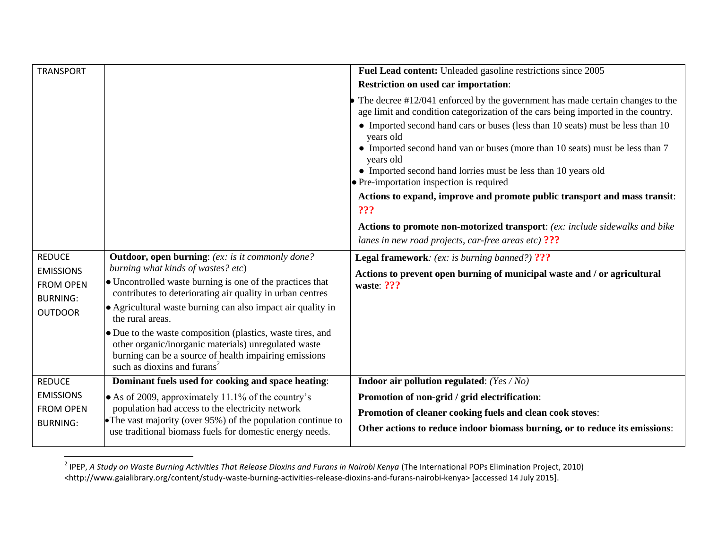| <b>TRANSPORT</b>                                                         |                                                                                                                                                                                                                         | Fuel Lead content: Unleaded gasoline restrictions since 2005                                                                                                                             |
|--------------------------------------------------------------------------|-------------------------------------------------------------------------------------------------------------------------------------------------------------------------------------------------------------------------|------------------------------------------------------------------------------------------------------------------------------------------------------------------------------------------|
|                                                                          |                                                                                                                                                                                                                         | <b>Restriction on used car importation:</b>                                                                                                                                              |
|                                                                          |                                                                                                                                                                                                                         | The decree #12/041 enforced by the government has made certain changes to the<br>age limit and condition categorization of the cars being imported in the country.                       |
|                                                                          |                                                                                                                                                                                                                         | • Imported second hand cars or buses (less than 10 seats) must be less than 10<br>years old<br>• Imported second hand van or buses (more than 10 seats) must be less than 7<br>years old |
|                                                                          |                                                                                                                                                                                                                         | • Imported second hand lorries must be less than 10 years old<br>$\bullet$ Pre-importation inspection is required                                                                        |
|                                                                          |                                                                                                                                                                                                                         | Actions to expand, improve and promote public transport and mass transit:<br>???                                                                                                         |
|                                                                          |                                                                                                                                                                                                                         | Actions to promote non-motorized transport: (ex: include sidewalks and bike                                                                                                              |
|                                                                          |                                                                                                                                                                                                                         | lanes in new road projects, car-free areas etc) $?$ ??                                                                                                                                   |
| <b>REDUCE</b><br><b>EMISSIONS</b><br><b>FROM OPEN</b><br><b>BURNING:</b> | <b>Outdoor, open burning:</b> (ex: is it commonly done?<br>burning what kinds of wastes? etc)<br>• Uncontrolled waste burning is one of the practices that<br>contributes to deteriorating air quality in urban centres | <b>Legal framework:</b> (ex: is burning banned?) ???                                                                                                                                     |
|                                                                          |                                                                                                                                                                                                                         | Actions to prevent open burning of municipal waste and / or agricultural<br>waste: ???                                                                                                   |
| <b>OUTDOOR</b>                                                           | • Agricultural waste burning can also impact air quality in<br>the rural areas.                                                                                                                                         |                                                                                                                                                                                          |
|                                                                          | • Due to the waste composition (plastics, waste tires, and<br>other organic/inorganic materials) unregulated waste<br>burning can be a source of health impairing emissions<br>such as dioxins and furans <sup>2</sup>  |                                                                                                                                                                                          |
| <b>REDUCE</b>                                                            | Dominant fuels used for cooking and space heating:                                                                                                                                                                      | <b>Indoor air pollution regulated:</b> $(Yes / No)$                                                                                                                                      |
| <b>EMISSIONS</b>                                                         | • As of 2009, approximately 11.1% of the country's                                                                                                                                                                      | Promotion of non-grid / grid electrification:                                                                                                                                            |
| <b>FROM OPEN</b>                                                         | population had access to the electricity network                                                                                                                                                                        | Promotion of cleaner cooking fuels and clean cook stoves:                                                                                                                                |
| <b>BURNING:</b>                                                          | • The vast majority (over $95\%$ ) of the population continue to<br>use traditional biomass fuels for domestic energy needs.                                                                                            | Other actions to reduce indoor biomass burning, or to reduce its emissions:                                                                                                              |

 2 IPEP, *A Study on Waste Burning Activities That Release Dioxins and Furans in Nairobi Kenya* (The International POPs Elimination Project, 2010) <http://www.gaialibrary.org/content/study-waste-burning-activities-release-dioxins-and-furans-nairobi-kenya> [accessed 14 July 2015].